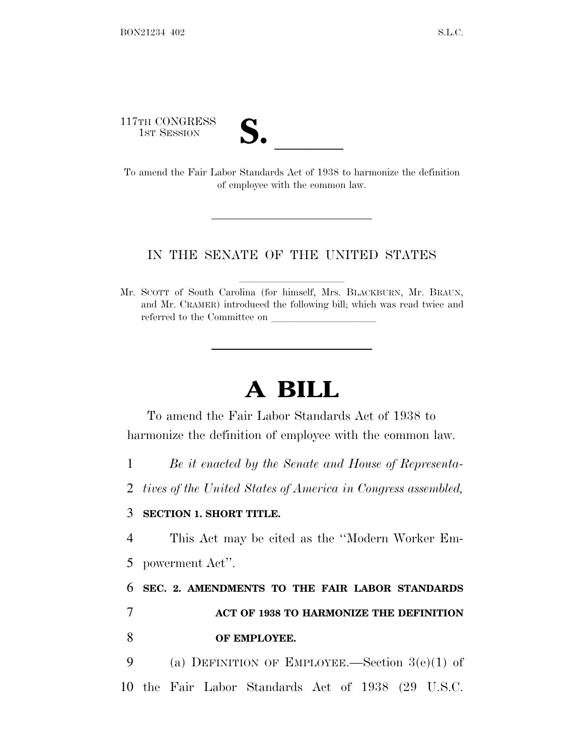117TH CONGRESS

| ◥<br>Æ                  |  |
|-------------------------|--|
|                         |  |
| $\overline{\mathsf{v}}$ |  |
|                         |  |

17TH CONGRESS<br>
1ST SESSION<br>
To amend the Fair Labor Standards Act of 1938 to harmonize the definition of employee with the common law.

## IN THE SENATE OF THE UNITED STATES

Mr. SCOTT of South Carolina (for himself, Mrs. BLACKBURN, Mr. BRAUN, and Mr. CRAMER) introduced the following bill; which was read twice and referred to the Committee on

## **A BILL**

To amend the Fair Labor Standards Act of 1938 to harmonize the definition of employee with the common law.

1 *Be it enacted by the Senate and House of Representa-*

2 *tives of the United States of America in Congress assembled,*

## 3 **SECTION 1. SHORT TITLE.**

4 This Act may be cited as the ''Modern Worker Em-5 powerment Act''.

6 **SEC. 2. AMENDMENTS TO THE FAIR LABOR STANDARDS** 7 **ACT OF 1938 TO HARMONIZE THE DEFINITION** 8 **OF EMPLOYEE.**

9 (a) DEFINITION OF EMPLOYEE.—Section 3(e)(1) of 10 the Fair Labor Standards Act of 1938 (29 U.S.C.